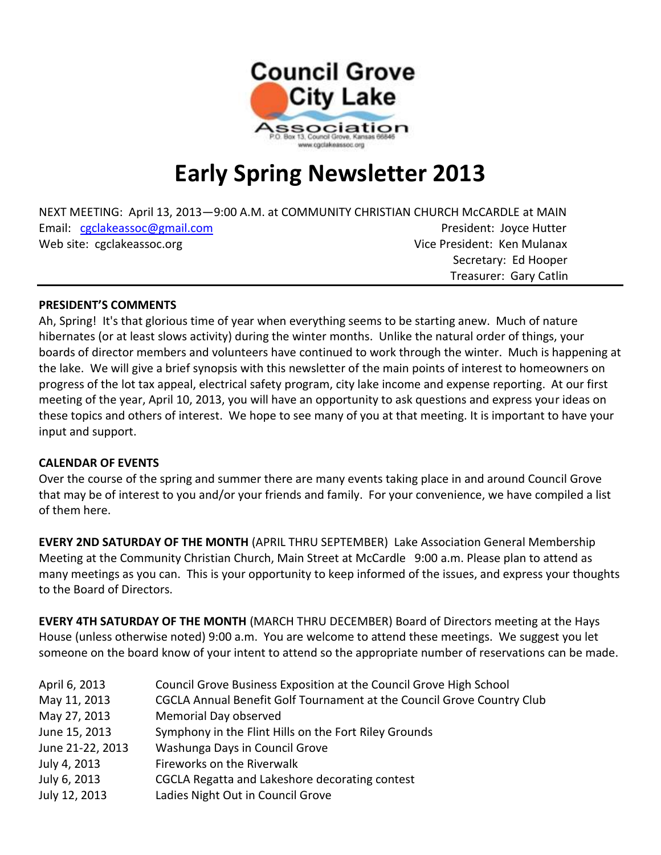

# **Early Spring Newsletter 2013**

NEXT MEETING: April 13, 2013—9:00 A.M. at COMMUNITY CHRISTIAN CHURCH McCARDLE at MAIN Email: [cgclakeassoc@gmail.com](mailto:cgclakeassoc@gmail.com) **President: Joyce Hutter** President: Joyce Hutter Web site: cgclakeassoc.org vice President: Ken Mulanax Secretary: Ed Hooper

#### **PRESIDENT'S COMMENTS**

Ah, Spring! It's that glorious time of year when everything seems to be starting anew. Much of nature hibernates (or at least slows activity) during the winter months. Unlike the natural order of things, your boards of director members and volunteers have continued to work through the winter. Much is happening at the lake. We will give a brief synopsis with this newsletter of the main points of interest to homeowners on progress of the lot tax appeal, electrical safety program, city lake income and expense reporting. At our first meeting of the year, April 10, 2013, you will have an opportunity to ask questions and express your ideas on these topics and others of interest. We hope to see many of you at that meeting. It is important to have your input and support.

Treasurer: Gary Catlin

#### **CALENDAR OF EVENTS**

Over the course of the spring and summer there are many events taking place in and around Council Grove that may be of interest to you and/or your friends and family. For your convenience, we have compiled a list of them here.

**EVERY 2ND SATURDAY OF THE MONTH** (APRIL THRU SEPTEMBER) Lake Association General Membership Meeting at the Community Christian Church, Main Street at McCardle 9:00 a.m. Please plan to attend as many meetings as you can. This is your opportunity to keep informed of the issues, and express your thoughts to the Board of Directors.

**EVERY 4TH SATURDAY OF THE MONTH** (MARCH THRU DECEMBER) Board of Directors meeting at the Hays House (unless otherwise noted) 9:00 a.m. You are welcome to attend these meetings. We suggest you let someone on the board know of your intent to attend so the appropriate number of reservations can be made.

| April 6, 2013    | Council Grove Business Exposition at the Council Grove High School     |
|------------------|------------------------------------------------------------------------|
| May 11, 2013     | CGCLA Annual Benefit Golf Tournament at the Council Grove Country Club |
| May 27, 2013     | Memorial Day observed                                                  |
| June 15, 2013    | Symphony in the Flint Hills on the Fort Riley Grounds                  |
| June 21-22, 2013 | Washunga Days in Council Grove                                         |
| July 4, 2013     | Fireworks on the Riverwalk                                             |
| July 6, 2013     | CGCLA Regatta and Lakeshore decorating contest                         |
| July 12, 2013    | Ladies Night Out in Council Grove                                      |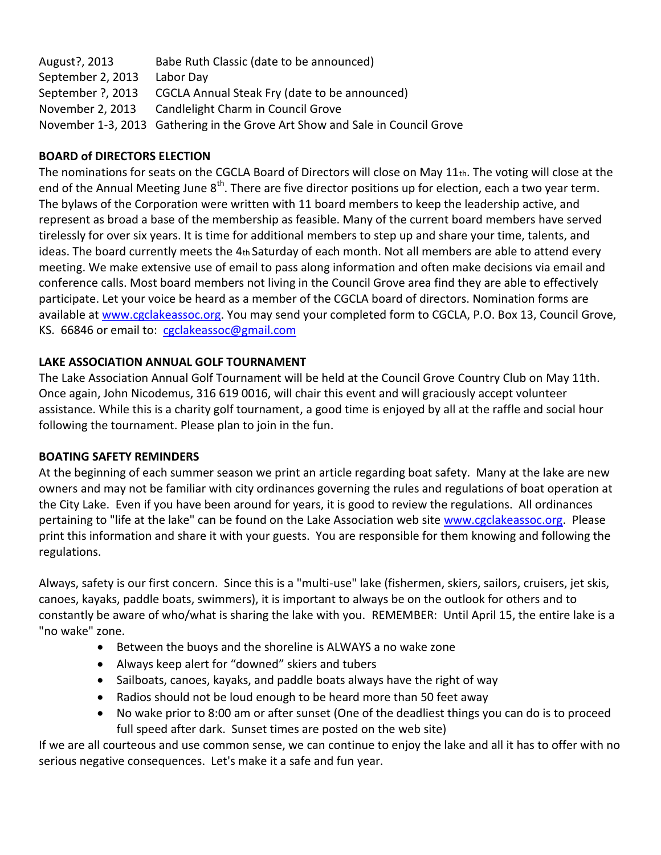August?, 2013 Babe Ruth Classic (date to be announced) September 2, 2013 Labor Day September ?, 2013 CGCLA Annual Steak Fry (date to be announced) November 2, 2013 Candlelight Charm in Council Grove November 1-3, 2013 Gathering in the Grove Art Show and Sale in Council Grove

# **BOARD of DIRECTORS ELECTION**

The nominations for seats on the CGCLA Board of Directors will close on May 11th. The voting will close at the end of the Annual Meeting June 8<sup>th</sup>. There are five director positions up for election, each a two year term. The bylaws of the Corporation were written with 11 board members to keep the leadership active, and represent as broad a base of the membership as feasible. Many of the current board members have served tirelessly for over six years. It is time for additional members to step up and share your time, talents, and ideas. The board currently meets the  $4<sub>th</sub>$  Saturday of each month. Not all members are able to attend every meeting. We make extensive use of email to pass along information and often make decisions via email and conference calls. Most board members not living in the Council Grove area find they are able to effectively participate. Let your voice be heard as a member of the CGCLA board of directors. Nomination forms are available at [www.cgclakeassoc.org.](http://www.cgclakeassoc.org/) You may send your completed form to CGCLA, P.O. Box 13, Council Grove, KS. 66846 or email to: [cgclakeassoc@gmail.com](mailto:cgclakeassoc@gmail.com)

# **LAKE ASSOCIATION ANNUAL GOLF TOURNAMENT**

The Lake Association Annual Golf Tournament will be held at the Council Grove Country Club on May 11th. Once again, John Nicodemus, 316 619 0016, will chair this event and will graciously accept volunteer assistance. While this is a charity golf tournament, a good time is enjoyed by all at the raffle and social hour following the tournament. Please plan to join in the fun.

# **BOATING SAFETY REMINDERS**

At the beginning of each summer season we print an article regarding boat safety. Many at the lake are new owners and may not be familiar with city ordinances governing the rules and regulations of boat operation at the City Lake. Even if you have been around for years, it is good to review the regulations. All ordinances pertaining to "life at the lake" can be found on the Lake Association web site [www.cgclakeassoc.org.](www.cgclakeassoc.org) Please print this information and share it with your guests. You are responsible for them knowing and following the regulations.

Always, safety is our first concern. Since this is a "multi-use" lake (fishermen, skiers, sailors, cruisers, jet skis, canoes, kayaks, paddle boats, swimmers), it is important to always be on the outlook for others and to constantly be aware of who/what is sharing the lake with you. REMEMBER: Until April 15, the entire lake is a "no wake" zone.

- Between the buoys and the shoreline is ALWAYS a no wake zone
- Always keep alert for "downed" skiers and tubers
- Sailboats, canoes, kayaks, and paddle boats always have the right of way
- Radios should not be loud enough to be heard more than 50 feet away
- No wake prior to 8:00 am or after sunset (One of the deadliest things you can do is to proceed full speed after dark. Sunset times are posted on the web site)

If we are all courteous and use common sense, we can continue to enjoy the lake and all it has to offer with no serious negative consequences. Let's make it a safe and fun year.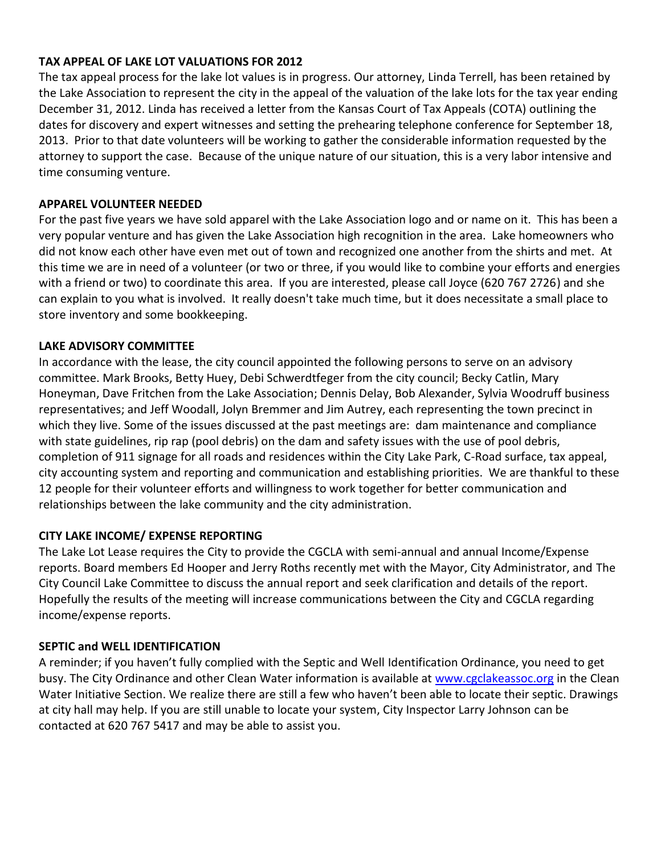### **TAX APPEAL OF LAKE LOT VALUATIONS FOR 2012**

The tax appeal process for the lake lot values is in progress. Our attorney, Linda Terrell, has been retained by the Lake Association to represent the city in the appeal of the valuation of the lake lots for the tax year ending December 31, 2012. Linda has received a letter from the Kansas Court of Tax Appeals (COTA) outlining the dates for discovery and expert witnesses and setting the prehearing telephone conference for September 18, 2013. Prior to that date volunteers will be working to gather the considerable information requested by the attorney to support the case. Because of the unique nature of our situation, this is a very labor intensive and time consuming venture.

#### **APPAREL VOLUNTEER NEEDED**

For the past five years we have sold apparel with the Lake Association logo and or name on it. This has been a very popular venture and has given the Lake Association high recognition in the area. Lake homeowners who did not know each other have even met out of town and recognized one another from the shirts and met. At this time we are in need of a volunteer (or two or three, if you would like to combine your efforts and energies with a friend or two) to coordinate this area. If you are interested, please call Joyce (620 767 2726) and she can explain to you what is involved. It really doesn't take much time, but it does necessitate a small place to store inventory and some bookkeeping.

#### **LAKE ADVISORY COMMITTEE**

In accordance with the lease, the city council appointed the following persons to serve on an advisory committee. Mark Brooks, Betty Huey, Debi Schwerdtfeger from the city council; Becky Catlin, Mary Honeyman, Dave Fritchen from the Lake Association; Dennis Delay, Bob Alexander, Sylvia Woodruff business representatives; and Jeff Woodall, Jolyn Bremmer and Jim Autrey, each representing the town precinct in which they live. Some of the issues discussed at the past meetings are: dam maintenance and compliance with state guidelines, rip rap (pool debris) on the dam and safety issues with the use of pool debris, completion of 911 signage for all roads and residences within the City Lake Park, C-Road surface, tax appeal, city accounting system and reporting and communication and establishing priorities. We are thankful to these 12 people for their volunteer efforts and willingness to work together for better communication and relationships between the lake community and the city administration.

# **CITY LAKE INCOME/ EXPENSE REPORTING**

The Lake Lot Lease requires the City to provide the CGCLA with semi-annual and annual Income/Expense reports. Board members Ed Hooper and Jerry Roths recently met with the Mayor, City Administrator, and The City Council Lake Committee to discuss the annual report and seek clarification and details of the report. Hopefully the results of the meeting will increase communications between the City and CGCLA regarding income/expense reports.

#### **SEPTIC and WELL IDENTIFICATION**

A reminder; if you haven't fully complied with the Septic and Well Identification Ordinance, you need to get busy. The City Ordinance and other Clean Water information is available at [www.cgclakeassoc.org](http://www.cgclakeassoc.org/) in the Clean Water Initiative Section. We realize there are still a few who haven't been able to locate their septic. Drawings at city hall may help. If you are still unable to locate your system, City Inspector Larry Johnson can be contacted at 620 767 5417 and may be able to assist you.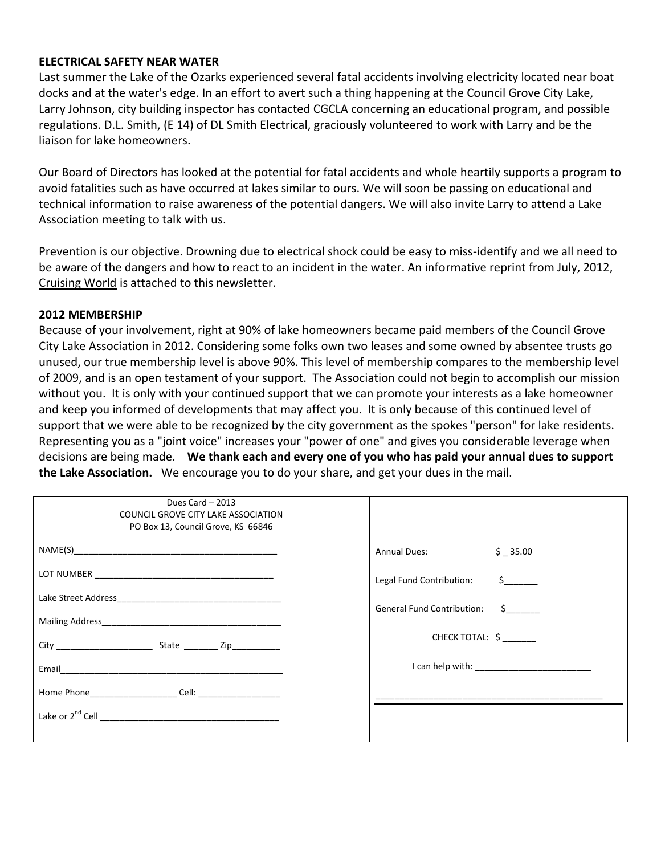#### **ELECTRICAL SAFETY NEAR WATER**

Last summer the Lake of the Ozarks experienced several fatal accidents involving electricity located near boat docks and at the water's edge. In an effort to avert such a thing happening at the Council Grove City Lake, Larry Johnson, city building inspector has contacted CGCLA concerning an educational program, and possible regulations. D.L. Smith, (E 14) of DL Smith Electrical, graciously volunteered to work with Larry and be the liaison for lake homeowners.

Our Board of Directors has looked at the potential for fatal accidents and whole heartily supports a program to avoid fatalities such as have occurred at lakes similar to ours. We will soon be passing on educational and technical information to raise awareness of the potential dangers. We will also invite Larry to attend a Lake Association meeting to talk with us.

Prevention is our objective. Drowning due to electrical shock could be easy to miss-identify and we all need to be aware of the dangers and how to react to an incident in the water. An informative reprint from July, 2012, Cruising World is attached to this newsletter.

#### **2012 MEMBERSHIP**

Because of your involvement, right at 90% of lake homeowners became paid members of the Council Grove City Lake Association in 2012. Considering some folks own two leases and some owned by absentee trusts go unused, our true membership level is above 90%. This level of membership compares to the membership level of 2009, and is an open testament of your support. The Association could not begin to accomplish our mission without you. It is only with your continued support that we can promote your interests as a lake homeowner and keep you informed of developments that may affect you. It is only because of this continued level of support that we were able to be recognized by the city government as the spokes "person" for lake residents. Representing you as a "joint voice" increases your "power of one" and gives you considerable leverage when decisions are being made. **We thank each and every one of you who has paid your annual dues to support the Lake Association.** We encourage you to do your share, and get your dues in the mail.

| Dues Card - 2013<br>COUNCIL GROVE CITY LAKE ASSOCIATION<br>PO Box 13, Council Grove, KS 66846 |                                                   |
|-----------------------------------------------------------------------------------------------|---------------------------------------------------|
|                                                                                               | $\frac{5}{2}$ 35.00<br>Annual Dues: Annual Dues:  |
|                                                                                               | $\sharp$ and $\sharp$<br>Legal Fund Contribution: |
|                                                                                               | General Fund Contribution: \$                     |
|                                                                                               |                                                   |
|                                                                                               | CHECK TOTAL: \$                                   |
|                                                                                               |                                                   |
|                                                                                               |                                                   |
|                                                                                               |                                                   |
|                                                                                               |                                                   |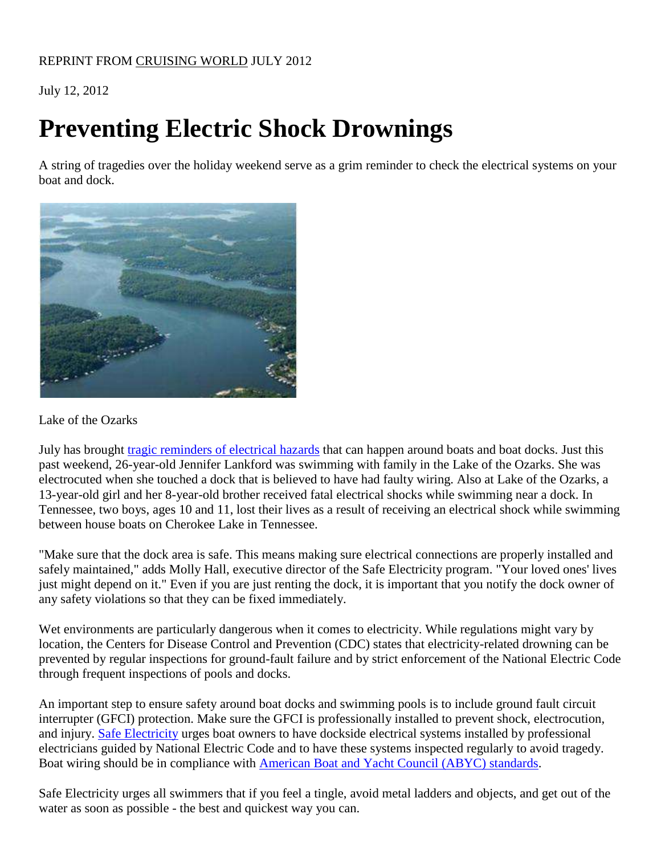# July 12, 2012

# **Preventing Electric Shock Drownings**

A string of tragedies over the holiday weekend serve as a grim reminder to check the electrical systems on your boat and dock.



# Lake of the Ozarks

July has brought [tragic reminders of electrical hazards](http://www.connectmidmissouri.com/news/story.aspx?id=772755#.T_7rO_EmYwM) that can happen around boats and boat docks. Just this past weekend, 26-year-old Jennifer Lankford was swimming with family in the Lake of the Ozarks. She was electrocuted when she touched a dock that is believed to have had faulty wiring. Also at Lake of the Ozarks, a 13-year-old girl and her 8-year-old brother received fatal electrical shocks while swimming near a dock. In Tennessee, two boys, ages 10 and 11, lost their lives as a result of receiving an electrical shock while swimming between house boats on Cherokee Lake in Tennessee.

"Make sure that the dock area is safe. This means making sure electrical connections are properly installed and safely maintained," adds Molly Hall, executive director of the Safe Electricity program. "Your loved ones' lives just might depend on it." Even if you are just renting the dock, it is important that you notify the dock owner of any safety violations so that they can be fixed immediately.

Wet environments are particularly dangerous when it comes to electricity. While regulations might vary by location, the Centers for Disease Control and Prevention (CDC) states that electricity-related drowning can be prevented by regular inspections for ground-fault failure and by strict enforcement of the National Electric Code through frequent inspections of pools and docks.

An important step to ensure safety around boat docks and swimming pools is to include ground fault circuit interrupter (GFCI) protection. Make sure the GFCI is professionally installed to prevent shock, electrocution, and injury. [Safe Electricity](http://safeelectricity.org/) urges boat owners to have dockside electrical systems installed by professional electricians guided by National Electric Code and to have these systems inspected regularly to avoid tragedy. Boat wiring should be in compliance with [American Boat and Yacht Council \(ABYC\) standards.](http://www.abycinc.org/)

Safe Electricity urges all swimmers that if you feel a tingle, avoid metal ladders and objects, and get out of the water as soon as possible - the best and quickest way you can.